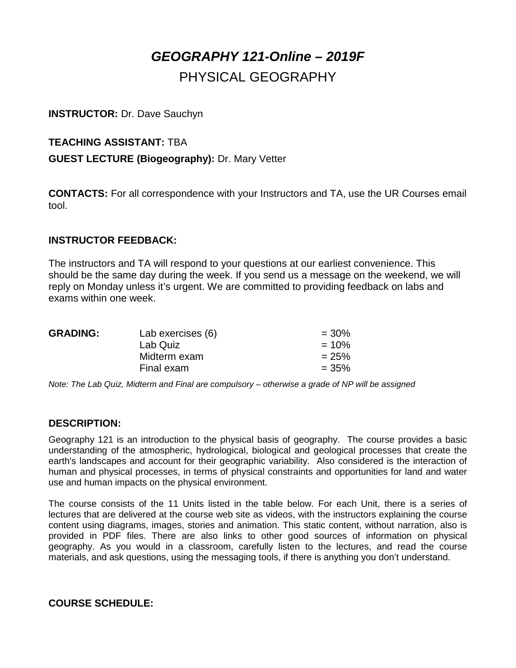# *GEOGRAPHY 121-Online – 2019F* PHYSICAL GEOGRAPHY

#### **INSTRUCTOR:** Dr. Dave Sauchyn

### **TEACHING ASSISTANT:** TBA

#### **GUEST LECTURE (Biogeography):** Dr. Mary Vetter

**CONTACTS:** For all correspondence with your Instructors and TA, use the UR Courses email tool.

#### **INSTRUCTOR FEEDBACK:**

The instructors and TA will respond to your questions at our earliest convenience. This should be the same day during the week. If you send us a message on the weekend, we will reply on Monday unless it's urgent. We are committed to providing feedback on labs and exams within one week.

| <b>GRADING:</b> | Lab exercises (6) | $= 30\%$ |
|-----------------|-------------------|----------|
|                 | Lab Quiz          | $= 10\%$ |
|                 | Midterm exam      | $= 25%$  |
|                 | Final exam        | $= 35\%$ |
|                 |                   |          |

*Note: The Lab Quiz, Midterm and Final are compulsory – otherwise a grade of NP will be assigned*

#### **DESCRIPTION:**

Geography 121 is an introduction to the physical basis of geography. The course provides a basic understanding of the atmospheric, hydrological, biological and geological processes that create the earth's landscapes and account for their geographic variability. Also considered is the interaction of human and physical processes, in terms of physical constraints and opportunities for land and water use and human impacts on the physical environment.

The course consists of the 11 Units listed in the table below. For each Unit, there is a series of lectures that are delivered at the course web site as videos, with the instructors explaining the course content using diagrams, images, stories and animation. This static content, without narration, also is provided in PDF files. There are also links to other good sources of information on physical geography. As you would in a classroom, carefully listen to the lectures, and read the course materials, and ask questions, using the messaging tools, if there is anything you don't understand.

#### **COURSE SCHEDULE:**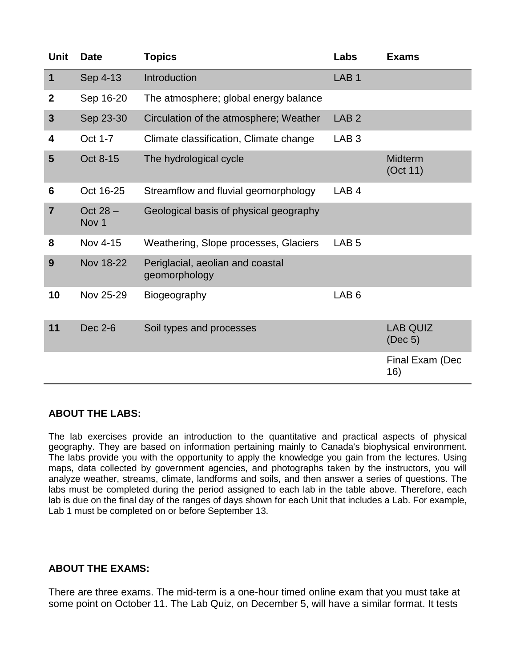| <b>Unit</b>     | <b>Date</b>                    | <b>Topics</b>                                     | Labs             | <b>Exams</b>               |
|-----------------|--------------------------------|---------------------------------------------------|------------------|----------------------------|
| 1               | Sep 4-13                       | Introduction                                      | LAB <sub>1</sub> |                            |
| $\mathbf 2$     | Sep 16-20                      | The atmosphere; global energy balance             |                  |                            |
| 3               | Sep 23-30                      | Circulation of the atmosphere; Weather            | LAB <sub>2</sub> |                            |
| 4               | Oct 1-7                        | Climate classification, Climate change            | LAB <sub>3</sub> |                            |
| 5               | Oct 8-15                       | The hydrological cycle                            |                  | <b>Midterm</b><br>(Oct 11) |
| $6\phantom{1}6$ | Oct 16-25                      | Streamflow and fluvial geomorphology              | LAB <sub>4</sub> |                            |
| $\overline{7}$  | Oct $28 -$<br>Nov <sub>1</sub> | Geological basis of physical geography            |                  |                            |
| 8               | Nov 4-15                       | Weathering, Slope processes, Glaciers             | LAB <sub>5</sub> |                            |
| 9               | Nov 18-22                      | Periglacial, aeolian and coastal<br>geomorphology |                  |                            |
| 10              | Nov 25-29                      | Biogeography                                      | LAB <sub>6</sub> |                            |
| 11              | Dec 2-6                        | Soil types and processes                          |                  | <b>LAB QUIZ</b><br>(Dec 5) |
|                 |                                |                                                   |                  | Final Exam (Dec<br>16)     |

#### **ABOUT THE LABS:**

The lab exercises provide an introduction to the quantitative and practical aspects of physical geography. They are based on information pertaining mainly to Canada's biophysical environment. The labs provide you with the opportunity to apply the knowledge you gain from the lectures. Using maps, data collected by government agencies, and photographs taken by the instructors, you will analyze weather, streams, climate, landforms and soils, and then answer a series of questions. The labs must be completed during the period assigned to each lab in the table above. Therefore, each lab is due on the final day of the ranges of days shown for each Unit that includes a Lab. For example, Lab 1 must be completed on or before September 13.

#### **ABOUT THE EXAMS:**

There are three exams. The mid-term is a one-hour timed online exam that you must take at some point on October 11. The Lab Quiz, on December 5, will have a similar format. It tests